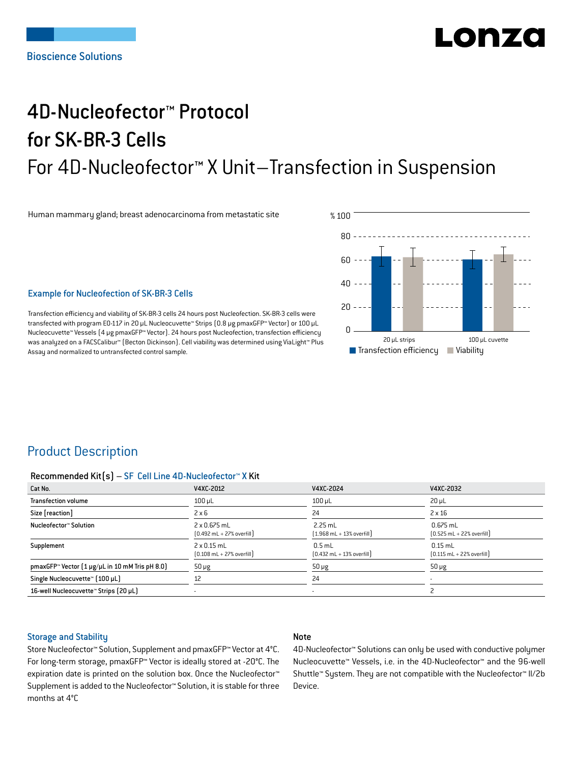# LO DE 74

# 4D-Nucleofector™ Protocol for SK-BR-3 Cells For 4D-Nucleofector™ X Unit–Transfection in Suspension

Human mammary gland; breast adenocarcinoma from metastatic site



#### Example for Nucleofection of SK-BR-3 Cells

Transfection efficiency and viability of SK-BR-3 cells 24 hours post Nucleofection. SK-BR-3 cells were transfected with program EO-117 in 20 μL Nucleocuvette™ Strips (0.8 μg pmaxGFP™ Vector) or 100 μL Nucleocuvette™ Vessels (4 μg pmaxGFP™ Vector). 24 hours post Nucleofection, transfection efficiency was analyzed on a FACSCalibur™ (Becton Dickinson). Cell viability was determined using ViaLight™ Plus Assay and normalized to untransfected control sample.

## Product Description

#### Recommended Kit(s) – SF Cell Line 4D-Nucleofector™ X Kit

| Cat No.                                                            | V4XC-2012                                                          | V4XC-2024                                                 | V4XC-2032                                                  |
|--------------------------------------------------------------------|--------------------------------------------------------------------|-----------------------------------------------------------|------------------------------------------------------------|
| <b>Transfection volume</b>                                         | $100 \mu L$                                                        | $100$ $\mu$ L                                             | $20 \mu L$                                                 |
| Size [reaction]                                                    | $2 \times 6$                                                       | 24                                                        | $2 \times 16$                                              |
| Nucleofector™ Solution                                             | 2 x 0.675 mL<br>$[0.492 \text{ mL} + 27\% \text{ overfill}]$       | $2.25$ mL<br>$(1.968 \text{ mL} + 13\% \text{ overfill})$ | $0.675$ mL<br>$[0.525 \text{ mL} + 22\% \text{ overfill}]$ |
| Supplement                                                         | $2 \times 0.15$ mL<br>$[0.108 \text{ mL} + 27\% \text{ overfill}]$ | $0.5$ mL<br>$[0.432 \text{ mL} + 13\% \text{ overfill}]$  | $0.15$ mL<br>$[0.115 \text{ mL} + 22\% \text{ overfill}]$  |
| pmaxGFP <sup>*</sup> Vector $[1 \mu g/\mu L$ in 10 mM Tris pH 8.0) | $50 \mu g$                                                         | $50 \mu g$                                                | $50 \mu g$                                                 |
| Single Nucleocuvette™ [100 µL]                                     | 12                                                                 | 24                                                        |                                                            |
| 16-well Nucleocuvette™ Strips (20 µL)                              |                                                                    | $\overline{\phantom{a}}$                                  |                                                            |

#### Storage and Stability

### Note

Store Nucleofector™ Solution, Supplement and pmaxGFP™ Vector at 4°C. For long-term storage, pmaxGFP™ Vector is ideally stored at -20°C. The expiration date is printed on the solution box. Once the Nucleofector™ Supplement is added to the Nucleofector™ Solution, it is stable for three months at 4°C

4D-Nucleofector™ Solutions can only be used with conductive polymer Nucleocuvette™ Vessels, i.e. in the 4D-Nucleofector™ and the 96-well Shuttle™ System. They are not compatible with the Nucleofector™ II/2b Device.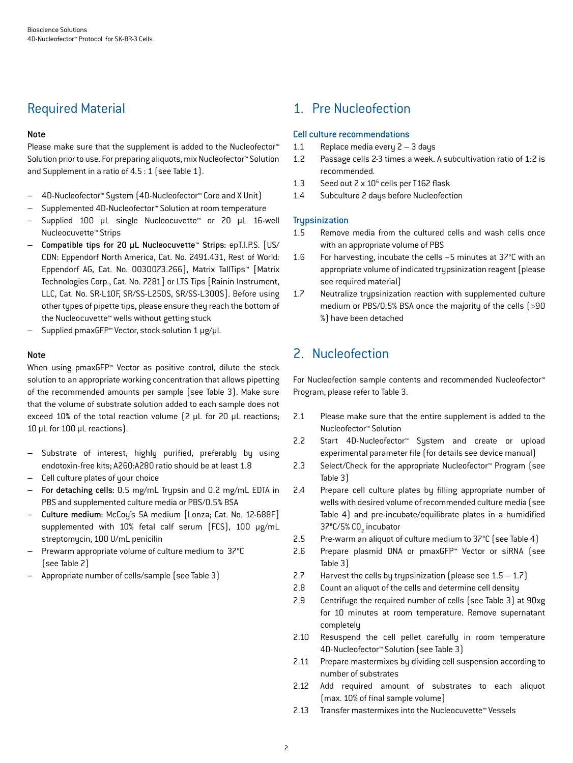# Required Material

## Note

Please make sure that the supplement is added to the Nucleofector<sup>™</sup> Solution prior to use. For preparing aliquots, mix Nucleofector™ Solution and Supplement in a ratio of 4.5 : 1 (see Table 1).

- 4D-Nucleofector™ System (4D-Nucleofector™ Core and X Unit)
- Supplemented 4D-Nucleofector™ Solution at room temperature
- Supplied 100 µL single Nucleocuvette™ or 20 µL 16-well Nucleocuvette™ Strips
- Compatible tips for 20 µL Nucleocuvette™ Strips: epT.I.P.S. [US/ CDN: Eppendorf North America, Cat. No. 2491.431, Rest of World: Eppendorf AG, Cat. No. 0030073.266], Matrix TallTips™ [Matrix Technologies Corp., Cat. No. 7281] or LTS Tips [Rainin Instrument, LLC, Cat. No. SR-L10F, SR/SS-L250S, SR/SS-L300S]. Before using other types of pipette tips, please ensure they reach the bottom of the Nucleocuvette™ wells without getting stuck
- Supplied pmaxGFP™ Vector, stock solution 1 μg/μL

### Note

When using pmaxGFP™ Vector as positive control, dilute the stock solution to an appropriate working concentration that allows pipetting of the recommended amounts per sample (see Table 3). Make sure that the volume of substrate solution added to each sample does not exceed 10% of the total reaction volume (2 μL for 20 μL reactions; 10 μL for 100 μL reactions).

- Substrate of interest, highly purified, preferably by using endotoxin-free kits; A260:A280 ratio should be at least 1.8
- Cell culture plates of your choice
- For detaching cells: 0.5 mg/mL Trypsin and 0.2 mg/mL EDTA in PBS and supplemented culture media or PBS/0.5% BSA
- Culture medium: McCoy's 5A medium [Lonza; Cat. No. 12-688F] supplemented with 10% fetal calf serum (FCS), 100 μg/mL streptomycin, 100 U/mL penicilin
- Prewarm appropriate volume of culture medium to 37°C (see Table 2)
- Appropriate number of cells/sample (see Table 3)

# 1. Pre Nucleofection

### Cell culture recommendations

- 1.1 Replace media every 2 3 days
- 1.2 Passage cells 2-3 times a week. A subcultivation ratio of 1:2 is recommended.
- 1.3 Seed out 2 x 10<sup>6</sup> cells per T162 flask
- 1.4 Subculture 2 days before Nucleofection

## **Trypsinization**

- 1.5 Remove media from the cultured cells and wash cells once with an appropriate volume of PBS
- 1.6 For harvesting, incubate the cells ~5 minutes at 37°C with an appropriate volume of indicated trypsinization reagent (please see required material)
- 1.7 Neutralize trypsinization reaction with supplemented culture medium or PBS/0.5% BSA once the majority of the cells (>90 %) have been detached

# 2. Nucleofection

For Nucleofection sample contents and recommended Nucleofector™ Program, please refer to Table 3.

- 2.1 Please make sure that the entire supplement is added to the Nucleofector™ Solution
- 2.2 Start 4D-Nucleofector™ System and create or upload experimental parameter file (for details see device manual)
- 2.3 Select/Check for the appropriate Nucleofector™ Program (see Table 3)
- 2.4 Prepare cell culture plates by filling appropriate number of wells with desired volume of recommended culture media (see Table 4) and pre-incubate/equilibrate plates in a humidified 37°C/5% CO<sub>2</sub> incubator
- 2.5 Pre-warm an aliquot of culture medium to 37°C (see Table 4)
- 2.6 Prepare plasmid DNA or pmaxGFP™ Vector or siRNA (see Table 3)
- 2.7 Harvest the cells by trypsinization (please see  $1.5 1.7$ )
- 2.8 Count an aliquot of the cells and determine cell density
- 2.9 Centrifuge the required number of cells (see Table 3) at 90xg for 10 minutes at room temperature. Remove supernatant completely
- 2.10 Resuspend the cell pellet carefully in room temperature 4D-Nucleofector™ Solution (see Table 3)
- 2.11 Prepare mastermixes by dividing cell suspension according to number of substrates
- 2.12 Add required amount of substrates to each aliquot (max. 10% of final sample volume)
- 2.13 Transfer mastermixes into the Nucleocuvette™ Vessels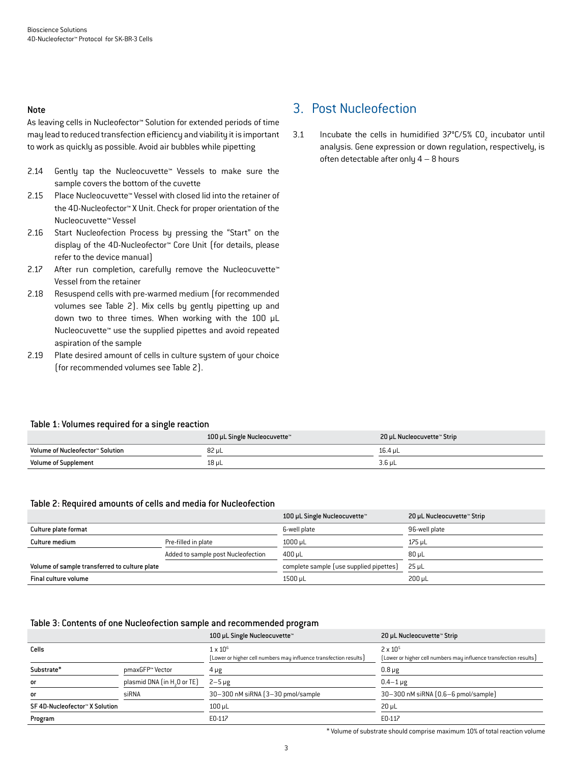#### Note

As leaving cells in Nucleofector™ Solution for extended periods of time may lead to reduced transfection efficiency and viability it is important to work as quickly as possible. Avoid air bubbles while pipetting

- 2.14 Gently tap the Nucleocuvette™ Vessels to make sure the sample covers the bottom of the cuvette
- 2.15 Place Nucleocuvette™ Vessel with closed lid into the retainer of the 4D-Nucleofector™ X Unit. Check for proper orientation of the Nucleocuvette™ Vessel
- 2.16 Start Nucleofection Process by pressing the "Start" on the display of the 4D-Nucleofector™ Core Unit (for details, please refer to the device manual)
- 2.17 After run completion, carefully remove the Nucleocuvette™ Vessel from the retainer
- 2.18 Resuspend cells with pre-warmed medium (for recommended volumes see Table 2). Mix cells by gently pipetting up and down two to three times. When working with the 100 µL Nucleocuvette™ use the supplied pipettes and avoid repeated aspiration of the sample
- 2.19 Plate desired amount of cells in culture system of your choice (for recommended volumes see Table 2).

## 3. Post Nucleofection

3.1 Incubate the cells in humidified  $37^{\circ}$ C/5% CO<sub>2</sub> incubator until analysis. Gene expression or down regulation, respectively, is often detectable after only 4 – 8 hours

#### Table 1: Volumes required for a single reaction

|                                  | 100 µL Single Nucleocuvette™ | 20 µL Nucleocuvette™ Strip |
|----------------------------------|------------------------------|----------------------------|
| Volume of Nucleofector™ Solution | 82 uL                        | 16.4 uL                    |
| <b>Volume of Supplement</b>      | 18 uL                        | 3.6 µL                     |

#### Table 2: Required amounts of cells and media for Nucleofection

|                                               |                                    | 100 µL Single Nucleocuvette™            | 20 µL Nucleocuvette™ Strip |
|-----------------------------------------------|------------------------------------|-----------------------------------------|----------------------------|
| Culture plate format                          |                                    | 6-well plate                            | 96-well plate              |
| Culture medium                                | Pre-filled in plate                | $1000 \mu L$                            | 175 µL                     |
|                                               | Added to sample post Nucleofection | $400 \mu L$                             | $80 \mu L$                 |
| Volume of sample transferred to culture plate |                                    | complete sample (use supplied pipettes) | $25 \mu L$                 |
| Final culture volume                          |                                    | 1500 uL                                 | 200 uL                     |

#### Table 3: Contents of one Nucleofection sample and recommended program

|                                |                                         | 100 µL Single Nucleocuvette™                                      | 20 µL Nucleocuvette™ Strip                                        |
|--------------------------------|-----------------------------------------|-------------------------------------------------------------------|-------------------------------------------------------------------|
| Cells                          |                                         | $1 \times 10^6$                                                   | $2 \times 10^{5}$                                                 |
|                                |                                         | (Lower or higher cell numbers may influence transfection results) | [Lower or higher cell numbers may influence transfection results] |
| Substrate*                     | pmaxGFP™ Vector                         | 4 µg                                                              | $0.8 \mu g$                                                       |
| <b>or</b>                      | plasmid DNA (in H <sub>2</sub> O or TE) | $2-5 \mu g$                                                       | $0.4 - 1 \mu g$                                                   |
| <b>or</b>                      | siRNA                                   | 30-300 nM siRNA (3-30 pmol/sample)                                | 30-300 nM siRNA [0.6-6 pmol/sample]                               |
| SF 4D-Nucleofector™ X Solution |                                         | $100 \mu L$                                                       | $20 \mu L$                                                        |
| Program                        |                                         | E0-117                                                            | E0-117                                                            |

\* Volume of substrate should comprise maximum 10% of total reaction volume